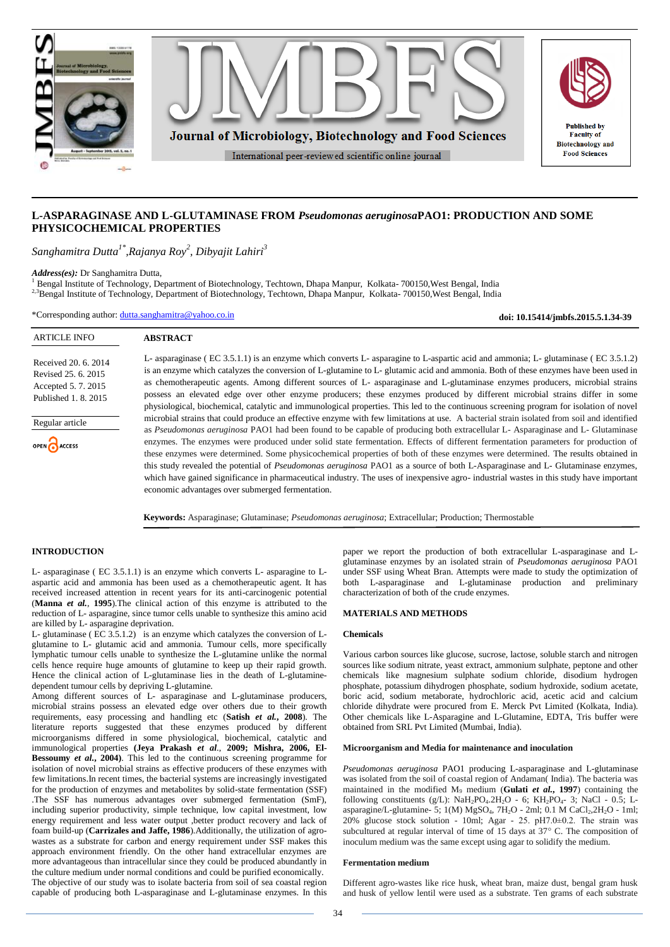

# **L-ASPARAGINASE AND L-GLUTAMINASE FROM** *Pseudomonas aeruginosa***PAO1: PRODUCTION AND SOME PHYSICOCHEMICAL PROPERTIES**

*Sanghamitra Dutta1\*,Rajanya Roy<sup>2</sup> , Dibyajit Lahiri<sup>3</sup>*

**ABSTRACT**

*Address(es):* Dr Sanghamitra Dutta,

<sup>1</sup> Bengal Institute of Technology, Department of Biotechnology, Techtown, Dhapa Manpur, Kolkata- 700150,West Bengal, India <sup>2,3</sup>Bengal Institute of Technology, Department of Biotechnology, Techtown, Dhapa Manpur, Kolkata- 700150, West Bengal, India

\*Corresponding author: [dutta.sanghamitra@yahoo.co.in](mailto:dutta.sanghamitra@yahoo.co.in)

**doi: 10.15414/jmbfs.2015.5.1.34-39**

# ARTICLE INFO

Received 20. 6. 2014 Revised 25. 6. 2015 Accepted 5. 7. 2015 Published 1. 8. 2015

Regular article

OPEN CACCESS

L- asparaginase ( EC 3.5.1.1) is an enzyme which converts L- asparagine to L-aspartic acid and ammonia; L- glutaminase ( EC 3.5.1.2) is an enzyme which catalyzes the conversion of L-glutamine to L- glutamic acid and ammonia. Both of these enzymes have been used in as chemotherapeutic agents. Among different sources of L- asparaginase and L-glutaminase enzymes producers, microbial strains possess an elevated edge over other enzyme producers; these enzymes produced by different microbial strains differ in some physiological, biochemical, catalytic and immunological properties. This led to the continuous screening program for isolation of novel microbial strains that could produce an effective enzyme with few limitations at use. A bacterial strain isolated from soil and identified as *Pseudomonas aeruginosa* PAO1 had been found to be capable of producing both extracellular L- Asparaginase and L- Glutaminase enzymes. The enzymes were produced under solid state fermentation. Effects of different fermentation parameters for production of these enzymes were determined. Some physicochemical properties of both of these enzymes were determined. The results obtained in this study revealed the potential of *Pseudomonas aeruginosa* PAO1 as a source of both L-Asparaginase and L- Glutaminase enzymes, which have gained significance in pharmaceutical industry. The uses of inexpensive agro- industrial wastes in this study have important economic advantages over submerged fermentation.

**Keywords:** Asparaginase; Glutaminase; *Pseudomonas aeruginosa*; Extracellular; Production; Thermostable

## **INTRODUCTION**

L- asparaginase ( EC 3.5.1.1) is an enzyme which converts L- asparagine to Laspartic acid and ammonia has been used as a chemotherapeutic agent. It has received increased attention in recent years for its anti-carcinogenic potential (**Manna** *et al.*, **1995**).The clinical action of this enzyme is attributed to the reduction of L- asparagine, since tumor cells unable to synthesize this amino acid are killed by L- asparagine deprivation.

L- glutaminase ( EC 3.5.1.2) is an enzyme which catalyzes the conversion of Lglutamine to L- glutamic acid and ammonia. Tumour cells, more specifically lymphatic tumour cells unable to synthesize the L-glutamine unlike the normal cells hence require huge amounts of glutamine to keep up their rapid growth. Hence the clinical action of L-glutaminase lies in the death of L-glutaminedependent tumour cells by depriving L-glutamine.

Among different sources of L- asparaginase and L-glutaminase producers, microbial strains possess an elevated edge over others due to their growth requirements, easy processing and handling etc (**Satish** *et al.***, 2008**). The literature reports suggested that these enzymes produced by different microorganisms differed in some physiological, biochemical, catalytic and immunological properties **(Jeya Prakash** *et al*., **2009; Mishra, 2006, El-Bessoumy** *et al.***, 2004)**. This led to the continuous screening programme for isolation of novel microbial strains as effective producers of these enzymes with few limitations.In recent times, the bacterial systems are increasingly investigated for the production of enzymes and metabolites by solid-state fermentation (SSF) .The SSF has numerous advantages over submerged fermentation (SmF), including superior productivity, simple technique, low capital investment, low energy requirement and less water output ,better product recovery and lack of foam build-up (**Carrizales and Jaffe, 1986**).Additionally, the utilization of agrowastes as a substrate for carbon and energy requirement under SSF makes this approach environment friendly. On the other hand extracellular enzymes are more advantageous than intracellular since they could be produced abundantly in the culture medium under normal conditions and could be purified economically. The objective of our study was to isolate bacteria from soil of sea coastal region capable of producing both L-asparaginase and L-glutaminase enzymes. In this

paper we report the production of both extracellular L-asparaginase and Lglutaminase enzymes by an isolated strain of *Pseudomonas aeruginosa* PAO1 under SSF using Wheat Bran. Attempts were made to study the optimization of both L-asparaginase and L-glutaminase production and preliminary characterization of both of the crude enzymes.

# **MATERIALS AND METHODS**

## **Chemicals**

Various carbon sources like glucose, sucrose, lactose, soluble starch and nitrogen sources like sodium nitrate, yeast extract, ammonium sulphate, peptone and other chemicals like magnesium sulphate sodium chloride, disodium hydrogen phosphate, potassium dihydrogen phosphate, sodium hydroxide, sodium acetate, boric acid, sodium metaborate, hydrochloric acid, acetic acid and calcium chloride dihydrate were procured from E. Merck Pvt Limited (Kolkata, India). Other chemicals like L-Asparagine and L-Glutamine, EDTA, Tris buffer were obtained from SRL Pvt Limited (Mumbai, India).

### **Microorganism and Media for maintenance and inoculation**

*Pseudomonas aeruginosa* PAO1 producing L-asparaginase and L-glutaminase was isolated from the soil of coastal region of Andaman( India). The bacteria was maintained in the modified  $M_9$  medium (Gulati *et al.*, 1997) containing the following constituents (g/L):  $\text{NaH}_2\text{PO}_4.2\text{H}_2\text{O}$  - 6;  $\text{KH}_2\text{PO}_4$ - 3; NaCl - 0.5; Lasparagine/L-glutamine- 5;  $1(M)$  MgSO<sub>4</sub>,  $7H<sub>2</sub>O$  - 2ml; 0.1 M CaCl<sub>2</sub>,  $2H<sub>2</sub>O$  - 1ml;  $20\%$  glucose stock solution - 10ml; Agar - 25. pH7.0 $\pm$ 0.2. The strain was subcultured at regular interval of time of 15 days at  $37^{\circ}$  C. The composition of inoculum medium was the same except using agar to solidify the medium.

### **Fermentation medium**

Different agro-wastes like rice husk, wheat bran, maize dust, bengal gram husk and husk of yellow lentil were used as a substrate. Ten grams of each substrate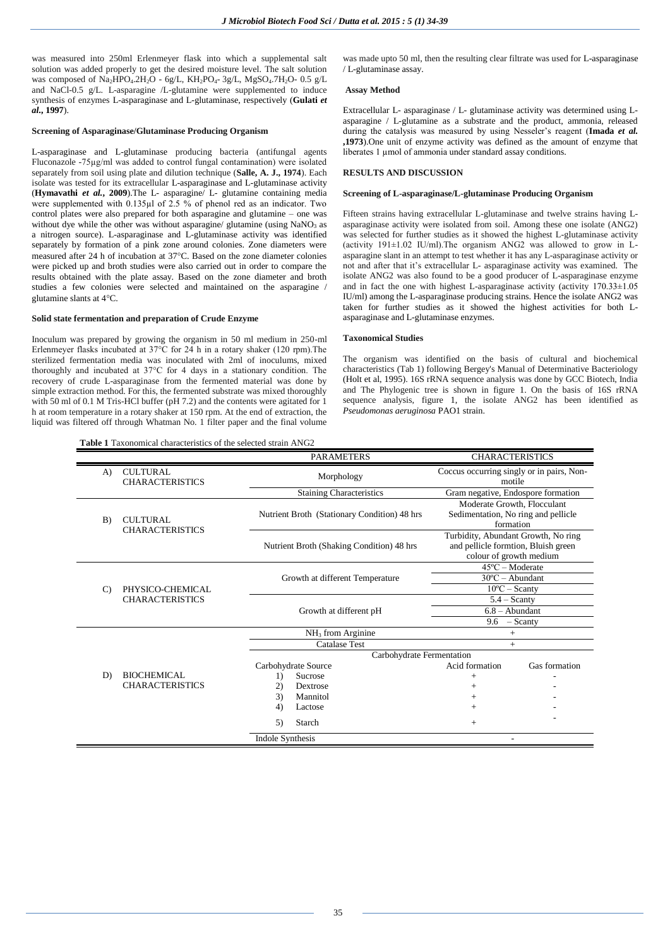was measured into 250ml Erlenmeyer flask into which a supplemental salt solution was added properly to get the desired moisture level. The salt solution was composed of  $Na<sub>2</sub>HPO<sub>4</sub>·2H<sub>2</sub>O - 6g/L$ ,  $KH<sub>2</sub>PO<sub>4</sub>·3g/L$ ,  $MgSO<sub>4</sub>·7H<sub>2</sub>O- 0.5 g/L$ and NaCl-0.5 g/L. L-asparagine /L-glutamine were supplemented to induce synthesis of enzymes L-asparaginase and L-glutaminase, respectively (**Gulati** *et al.***, 1997**).

### **Screening of Asparaginase/Glutaminase Producing Organism**

L-asparaginase and L-glutaminase producing bacteria (antifungal agents Fluconazole -75µg/ml was added to control fungal contamination) were isolated separately from soil using plate and dilution technique (**Salle, A. J., 1974**). Each isolate was tested for its extracellular L-asparaginase and L-glutaminase activity (**Hymavathi** *et al.***, 2009**).The L- asparagine/ L- glutamine containing media were supplemented with 0.135µl of 2.5 % of phenol red as an indicator. Two control plates were also prepared for both asparagine and glutamine – one was without dye while the other was without asparagine/ glutamine (using NaNO<sub>3</sub> as a nitrogen source). L-asparaginase and L-glutaminase activity was identified separately by formation of a pink zone around colonies. Zone diameters were measured after 24 h of incubation at 37°C. Based on the zone diameter colonies were picked up and broth studies were also carried out in order to compare the results obtained with the plate assay. Based on the zone diameter and broth studies a few colonies were selected and maintained on the asparagine / glutamine slants at 4°C.

### **Solid state fermentation and preparation of Crude Enzyme**

Inoculum was prepared by growing the organism in 50 ml medium in 250-ml Erlenmeyer flasks incubated at 37°C for 24 h in a rotary shaker (120 rpm).The sterilized fermentation media was inoculated with 2ml of inoculums, mixed thoroughly and incubated at 37°C for 4 days in a stationary condition. The recovery of crude L-asparaginase from the fermented material was done by simple extraction method. For this, the fermented substrate was mixed thoroughly with 50 ml of 0.1 M Tris-HCl buffer (pH 7.2) and the contents were agitated for 1 h at room temperature in a rotary shaker at 150 rpm. At the end of extraction, the liquid was filtered off through Whatman No. 1 filter paper and the final volume

**Table 1** Taxonomical characteristics of the selected strain ANG2

was made upto 50 ml, then the resulting clear filtrate was used for L-asparaginase / L-glutaminase assay.

#### **Assay Method**

Extracellular L- asparaginase / L- glutaminase activity was determined using Lasparagine / L-glutamine as a substrate and the product, ammonia, released during the catalysis was measured by using Nesseler's reagent (**Imada** *et al.* **,1973**).One unit of enzyme activity was defined as the amount of enzyme that liberates 1 µmol of ammonia under standard assay conditions.

# **RESULTS AND DISCUSSION**

### **Screening of L-asparaginase/L-glutaminase Producing Organism**

Fifteen strains having extracellular L-glutaminase and twelve strains having Lasparaginase activity were isolated from soil. Among these one isolate (ANG2) was selected for further studies as it showed the highest L-glutaminase activity (activity 191±1.02 IU/ml).The organism ANG2 was allowed to grow in Lasparagine slant in an attempt to test whether it has any L-asparaginase activity or not and after that it's extracellular L- asparaginase activity was examined. The isolate ANG2 was also found to be a good producer of L-asparaginase enzyme and in fact the one with highest L-asparaginase activity (activity 170.33±1.05 IU/ml) among the L-asparaginase producing strains. Hence the isolate ANG2 was taken for further studies as it showed the highest activities for both Lasparaginase and L-glutaminase enzymes.

## **Taxonomical Studies**

The organism was identified on the basis of cultural and biochemical characteristics (Tab 1) following Bergey's Manual of Determinative Bacteriology (Holt et al, 1995). 16S rRNA sequence analysis was done by GCC Biotech, India and The Phylogenic tree is shown in figure 1. On the basis of 16S rRNA sequence analysis, figure 1, the isolate ANG2 has been identified as *Pseudomonas aeruginosa* PAO1 strain.

|                                                 |                                              |                                              | <b>PARAMETERS</b>    |                                                                                                       | <b>CHARACTERISTICS</b> |
|-------------------------------------------------|----------------------------------------------|----------------------------------------------|----------------------|-------------------------------------------------------------------------------------------------------|------------------------|
| <b>CULTURAL</b><br>A)<br><b>CHARACTERISTICS</b> |                                              | Morphology                                   |                      | Coccus occurring singly or in pairs, Non-<br>motile                                                   |                        |
|                                                 |                                              | <b>Staining Characteristics</b>              |                      | Gram negative, Endospore formation                                                                    |                        |
| B)                                              | <b>CULTURAL</b><br><b>CHARACTERISTICS</b>    | Nutrient Broth (Stationary Condition) 48 hrs |                      | Moderate Growth, Flocculant<br>Sedimentation, No ring and pellicle<br>formation                       |                        |
|                                                 |                                              | Nutrient Broth (Shaking Condition) 48 hrs    |                      | Turbidity, Abundant Growth, No ring<br>and pellicle formtion, Bluish green<br>colour of growth medium |                        |
| $\mathcal{C}$                                   | PHYSICO-CHEMICAL<br><b>CHARACTERISTICS</b>   | Growth at different Temperature              |                      | $45^{\circ}$ C – Moderate<br>$30^{\circ}$ C - Abundant<br>$10^{\circ}$ C – Scanty                     |                        |
|                                                 |                                              | Growth at different pH                       |                      | $5.4 -$ Scanty<br>$6.8 -$ Abundant<br>$-$ Scanty<br>9.6                                               |                        |
|                                                 | <b>BIOCHEMICAL</b><br><b>CHARACTERISTICS</b> | NH <sub>3</sub> from Arginine                |                      | $^{+}$                                                                                                |                        |
|                                                 |                                              | <b>Catalase Test</b>                         |                      | $+$                                                                                                   |                        |
|                                                 |                                              | Carbohydrate Fermentation                    |                      |                                                                                                       |                        |
|                                                 |                                              |                                              | Carbohydrate Source  | Acid formation                                                                                        | Gas formation          |
| D)                                              |                                              | 1)                                           | Sucrose              | $^{+}$                                                                                                |                        |
|                                                 |                                              | 2)<br>3)                                     | Dextrose<br>Mannitol | $^{+}$                                                                                                |                        |
|                                                 |                                              | 4)                                           | Lactose              | $^+$<br>$+$                                                                                           |                        |
|                                                 |                                              |                                              |                      |                                                                                                       |                        |
|                                                 |                                              | 5)                                           | Starch               | $^{+}$                                                                                                |                        |
|                                                 |                                              | <b>Indole Synthesis</b>                      |                      |                                                                                                       |                        |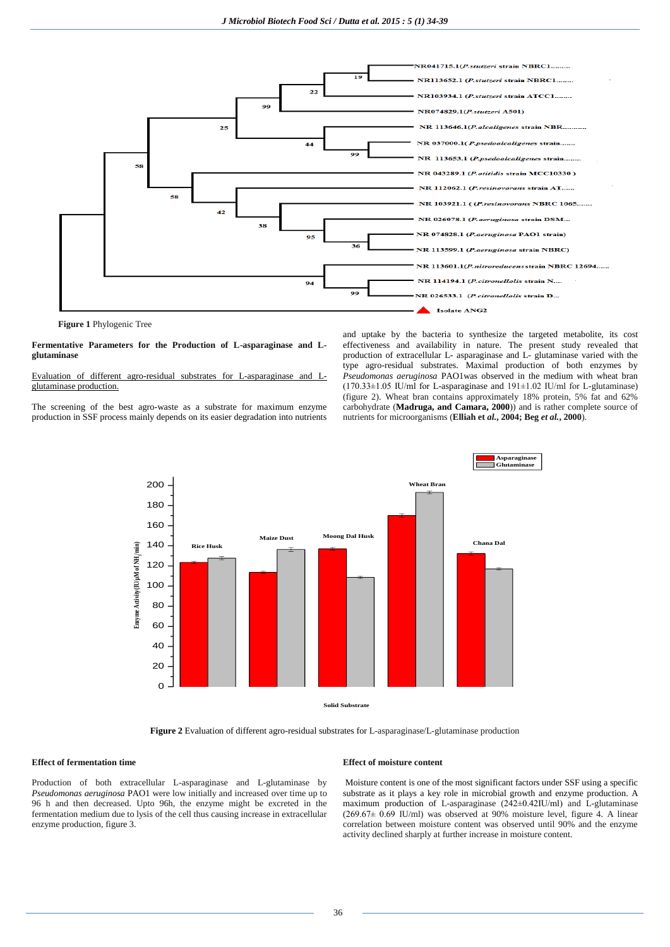

**Figure 1** Phylogenic Tree

### **Fermentative Parameters for the Production of L-asparaginase and Lglutaminase**

### Evaluation of different agro-residual substrates for L-asparaginase and Lglutaminase production.

The screening of the best agro-waste as a substrate for maximum enzyme production in SSF process mainly depends on its easier degradation into nutrients and uptake by the bacteria to synthesize the targeted metabolite, its cost effectiveness and availability in nature. The present study revealed that production of extracellular L- asparaginase and L- glutaminase varied with the type agro-residual substrates. Maximal production of both enzymes by *Pseudomonas aeruginosa* PAO1was observed in the medium with wheat bran (170.33±1.05 IU/ml for L-asparaginase and 191±1.02 IU/ml for L-glutaminase) (figure 2). Wheat bran contains approximately 18% protein, 5% fat and 62% carbohydrate (**Madruga, and Camara, 2000**)) and is rather complete source of nutrients for microorganisms (**Elliah et** *al.***, 2004; Beg** *et al.***, 2000**).



**Figure 2** Evaluation of different agro-residual substrates for L-asparaginase/L-glutaminase production

## **Effect of fermentation time**

Production of both extracellular L-asparaginase and L-glutaminase by *Pseudomonas aeruginosa* PAO1 were low initially and increased over time up to 96 h and then decreased. Upto 96h, the enzyme might be excreted in the fermentation medium due to lysis of the cell thus causing increase in extracellular enzyme production, figure 3.

#### **Effect of moisture content**

Moisture content is one of the most significant factors under SSF using a specific substrate as it plays a key role in microbial growth and enzyme production. A maximum production of L-asparaginase (242±0.42IU/ml) and L-glutaminase  $(269.67\pm 0.69$  IU/ml) was observed at 90% moisture level, figure 4. A linear correlation between moisture content was observed until 90% and the enzyme activity declined sharply at further increase in moisture content.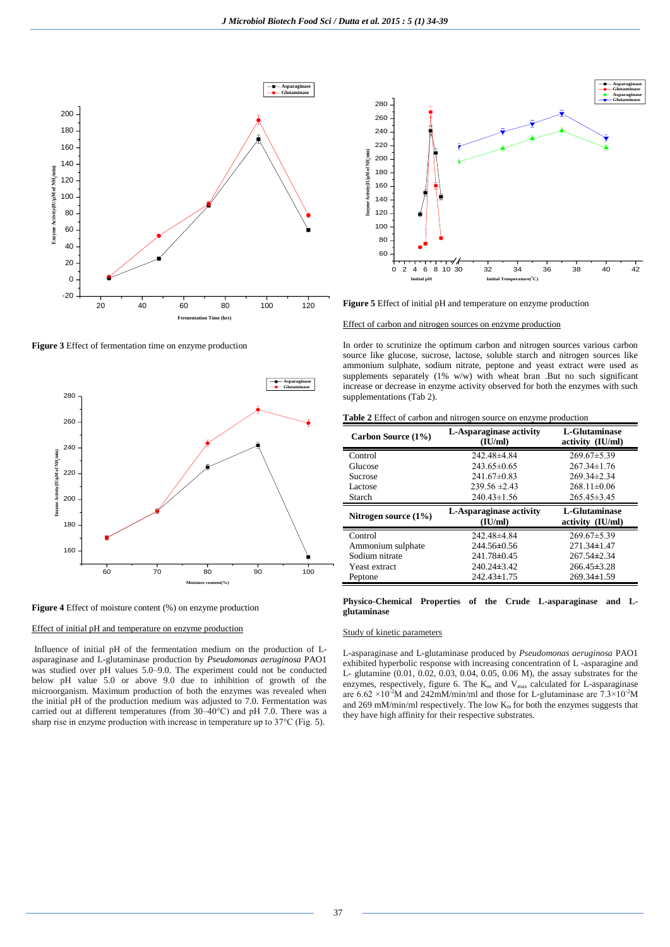

**Figure 3** Effect of fermentation time on enzyme production



**Figure 4** Effect of moisture content (%) on enzyme production



Influence of initial pH of the fermentation medium on the production of Lasparaginase and L-glutaminase production by *Pseudomonas aeruginosa* PAO1 was studied over pH values 5.0–9.0. The experiment could not be conducted below pH value 5.0 or above 9.0 due to inhibition of growth of the microorganism. Maximum production of both the enzymes was revealed when the initial pH of the production medium was adjusted to 7.0. Fermentation was carried out at different temperatures (from 30–40°C) and pH 7.0. There was a sharp rise in enzyme production with increase in temperature up to 37°C (Fig. 5).



Effect of carbon and nitrogen sources on enzyme production

In order to scrutinize the optimum carbon and nitrogen sources various carbon source like glucose, sucrose, lactose, soluble starch and nitrogen sources like ammonium sulphate, sodium nitrate, peptone and yeast extract were used as supplements separately (1% w/w) with wheat bran .But no such significant increase or decrease in enzyme activity observed for both the enzymes with such **Asparaginase Glutaminase** supplementations (Tab 2).

**Table 2** Effect of carbon and nitrogen source on enzyme production

| Carbon Source (1%)      | L-Asparaginase activity<br>(IU/ml) | L-Glutaminase<br>activity (IU/ml) |  |
|-------------------------|------------------------------------|-----------------------------------|--|
| Control                 | 242.48±4.84                        | $269.67\pm5.39$                   |  |
| Glucose                 | $243.65\pm0.65$                    | $267.34\pm1.76$                   |  |
| Sucrose                 | $241.67\pm0.83$                    | $269.34\pm2.34$                   |  |
| Lactose                 | $239.56 \pm 2.43$                  | $268.11\pm0.06$                   |  |
| Starch                  | $240.43 \pm 1.56$                  | $265.45 \pm 3.45$                 |  |
|                         |                                    |                                   |  |
| Nitrogen source $(1\%)$ | L-Asparaginase activity<br>(IU/ml) | L-Glutaminase<br>activity (IU/ml) |  |
| Control                 | 242.48±4.84                        | $269.67 \pm 5.39$                 |  |
| Ammonium sulphate       | 244.56±0.56                        | $271.34 \pm 1.47$                 |  |
| Sodium nitrate          | 241.78±0.45                        | $267.54 \pm 2.34$                 |  |
| Yeast extract           | $240.24\pm3.42$                    | $266.45 \pm 3.28$                 |  |

**Physico-Chemical Properties of the Crude L-asparaginase and Lglutaminase**

## Study of kinetic parameters

L-asparaginase and L-glutaminase produced by *Pseudomonas aeruginosa* PAO1 exhibited hyperbolic response with increasing concentration of L -asparagine and L- glutamine (0.01, 0.02, 0.03, 0.04, 0.05, 0.06 M), the assay substrates for the enzymes, respectively, figure 6. The  $K_m$  and  $V_{max}$  calculated for L-asparaginase are  $6.62 \times 10^{-2}$ M and  $242$ mM/min/ml and those for L-glutaminase are  $7.3 \times 10^{-2}$ M and 269 mM/min/ml respectively. The low  $K<sub>m</sub>$  for both the enzymes suggests that they have high affinity for their respective substrates.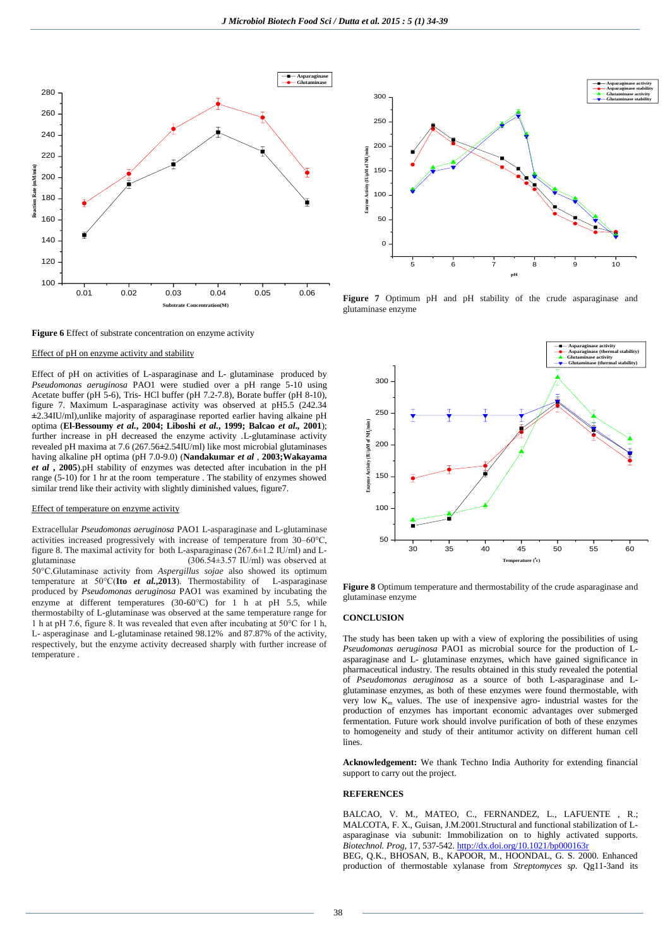

**Figure 6** Effect of substrate concentration on enzyme activity

#### Effect of pH on enzyme activity and stability

Effect of pH on activities of L-asparaginase and L- glutaminase produced by *Pseudomonas aeruginosa* PAO1 were studied over a pH range 5-10 using Acetate buffer (pH 5-6), Tris- HCl buffer (pH 7.2-7.8), Borate buffer (pH 8-10), figure 7. Maximum L-asparaginase activity was observed at pH5.5 (242.34 **±**2.34IU/ml),unlike majority of asparaginase reported earlier having alkaine pH optima (**El-Bessoumy** *et al.***, 2004; Liboshi** *et al.***, 1999; Balcao** *et al.,* **2001**); further increase in pH decreased the enzyme activity .L-glutaminase activity revealed pH maxima at 7.6 (267.56**±**2.54IU/ml) like most microbial glutaminases having alkaline pH optima (pH 7.0-9.0) (**Nandakumar** *et al* , **2003;Wakayama**  *et al* **, 2005**).pH stability of enzymes was detected after incubation in the pH range (5-10) for 1 hr at the room temperature . The stability of enzymes showed similar trend like their activity with slightly diminished values, figure7.

## Effect of temperature on enzyme activity

Extracellular *Pseudomonas aeruginosa* PAO1 L-asparaginase and L-glutaminase activities increased progressively with increase of temperature from 30–60°C, figure 8. The maximal activity for both L-asparaginase  $(267.6\pm1.2 \text{ IU/ml})$  and L-<br>glutaminase  $(306.54\pm3.57 \text{ IU/ml})$  was observed at  $(306.54±3.57$  IU/ml) was observed at 50°C.Glutaminase activity from *Aspergillus sojae* also showed its optimum temperature at 50°C(**Ito** *et al.***,2013**). Thermostability of L-asparaginase produced by *Pseudomonas aeruginosa* PAO1 was examined by incubating the enzyme at different temperatures (30-60 $^{\circ}$ C) for 1 h at pH 5.5, while thermostabilty of L-glutaminase was observed at the same temperature range for 1 h at pH 7.6, figure 8. It was revealed that even after incubating at 50°C for 1 h, L- asperaginase and L-glutaminase retained 98.12% and 87.87% of the activity, respectively, but the enzyme activity decreased sharply with further increase of temperature .



**Figure 7** Optimum pH and pH stability of the crude asparaginase and glutaminase enzyme



**Figure 8** Optimum temperature and thermostability of the crude asparaginase and glutaminase enzyme

#### **CONCLUSION**

The study has been taken up with a view of exploring the possibilities of using *Pseudomonas aeruginosa* PAO1 as microbial source for the production of Lasparaginase and L- glutaminase enzymes, which have gained significance in pharmaceutical industry. The results obtained in this study revealed the potential of *Pseudomonas aeruginosa* as a source of both L-asparaginase and Lglutaminase enzymes, as both of these enzymes were found thermostable, with very low  $K_m$  values. The use of inexpensive agro- industrial wastes for the production of enzymes has important economic advantages over submerged fermentation. Future work should involve purification of both of these enzymes to homogeneity and study of their antitumor activity on different human cell lines.

**Acknowledgement:** We thank Techno India Authority for extending financial support to carry out the project.

### **REFERENCES**

BALCAO, V. M., MATEO, C., FERNANDEZ, L., LAFUENTE , R.; MALCOTA, F. X., Guisan, J.M.2001.Structural and functional stabilization of Lasparaginase via subunit: Immobilization on to highly activated supports. *Biotechnol. Prog.* 17, 537-542. http://dx.doi.org/10.1021/bp000163 BEG, Q.K., BHOSAN, B., KAPOOR, M., HOONDAL, G. S. 2000. Enhanced production of thermostable xylanase from *Streptomyces sp.* Qg11-3and its